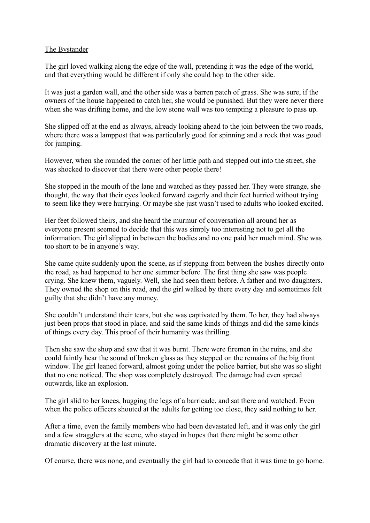## The Bystander

The girl loved walking along the edge of the wall, pretending it was the edge of the world, and that everything would be different if only she could hop to the other side.

It was just a garden wall, and the other side was a barren patch of grass. She was sure, if the owners of the house happened to catch her, she would be punished. But they were never there when she was drifting home, and the low stone wall was too tempting a pleasure to pass up.

She slipped off at the end as always, already looking ahead to the join between the two roads, where there was a lamppost that was particularly good for spinning and a rock that was good for jumping.

However, when she rounded the corner of her little path and stepped out into the street, she was shocked to discover that there were other people there!

She stopped in the mouth of the lane and watched as they passed her. They were strange, she thought, the way that their eyes looked forward eagerly and their feet hurried without trying to seem like they were hurrying. Or maybe she just wasn't used to adults who looked excited.

Her feet followed theirs, and she heard the murmur of conversation all around her as everyone present seemed to decide that this was simply too interesting not to get all the information. The girl slipped in between the bodies and no one paid her much mind. She was too short to be in anyone's way.

She came quite suddenly upon the scene, as if stepping from between the bushes directly onto the road, as had happened to her one summer before. The first thing she saw was people crying. She knew them, vaguely. Well, she had seen them before. A father and two daughters. They owned the shop on this road, and the girl walked by there every day and sometimes felt guilty that she didn't have any money.

She couldn't understand their tears, but she was captivated by them. To her, they had always just been props that stood in place, and said the same kinds of things and did the same kinds of things every day. This proof of their humanity was thrilling.

Then she saw the shop and saw that it was burnt. There were firemen in the ruins, and she could faintly hear the sound of broken glass as they stepped on the remains of the big front window. The girl leaned forward, almost going under the police barrier, but she was so slight that no one noticed. The shop was completely destroyed. The damage had even spread outwards, like an explosion.

The girl slid to her knees, hugging the legs of a barricade, and sat there and watched. Even when the police officers shouted at the adults for getting too close, they said nothing to her.

After a time, even the family members who had been devastated left, and it was only the girl and a few stragglers at the scene, who stayed in hopes that there might be some other dramatic discovery at the last minute.

Of course, there was none, and eventually the girl had to concede that it was time to go home.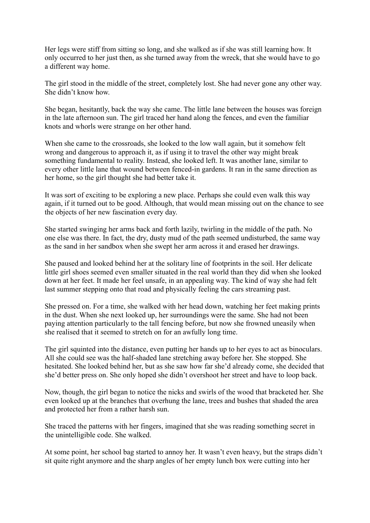Her legs were stiff from sitting so long, and she walked as if she was still learning how. It only occurred to her just then, as she turned away from the wreck, that she would have to go a different way home.

The girl stood in the middle of the street, completely lost. She had never gone any other way. She didn't know how.

She began, hesitantly, back the way she came. The little lane between the houses was foreign in the late afternoon sun. The girl traced her hand along the fences, and even the familiar knots and whorls were strange on her other hand.

When she came to the crossroads, she looked to the low wall again, but it somehow felt wrong and dangerous to approach it, as if using it to travel the other way might break something fundamental to reality. Instead, she looked left. It was another lane, similar to every other little lane that wound between fenced-in gardens. It ran in the same direction as her home, so the girl thought she had better take it.

It was sort of exciting to be exploring a new place. Perhaps she could even walk this way again, if it turned out to be good. Although, that would mean missing out on the chance to see the objects of her new fascination every day.

She started swinging her arms back and forth lazily, twirling in the middle of the path. No one else was there. In fact, the dry, dusty mud of the path seemed undisturbed, the same way as the sand in her sandbox when she swept her arm across it and erased her drawings.

She paused and looked behind her at the solitary line of footprints in the soil. Her delicate little girl shoes seemed even smaller situated in the real world than they did when she looked down at her feet. It made her feel unsafe, in an appealing way. The kind of way she had felt last summer stepping onto that road and physically feeling the cars streaming past.

She pressed on. For a time, she walked with her head down, watching her feet making prints in the dust. When she next looked up, her surroundings were the same. She had not been paying attention particularly to the tall fencing before, but now she frowned uneasily when she realised that it seemed to stretch on for an awfully long time.

The girl squinted into the distance, even putting her hands up to her eyes to act as binoculars. All she could see was the half-shaded lane stretching away before her. She stopped. She hesitated. She looked behind her, but as she saw how far she'd already come, she decided that she'd better press on. She only hoped she didn't overshoot her street and have to loop back.

Now, though, the girl began to notice the nicks and swirls of the wood that bracketed her. She even looked up at the branches that overhung the lane, trees and bushes that shaded the area and protected her from a rather harsh sun.

She traced the patterns with her fingers, imagined that she was reading something secret in the unintelligible code. She walked.

At some point, her school bag started to annoy her. It wasn't even heavy, but the straps didn't sit quite right anymore and the sharp angles of her empty lunch box were cutting into her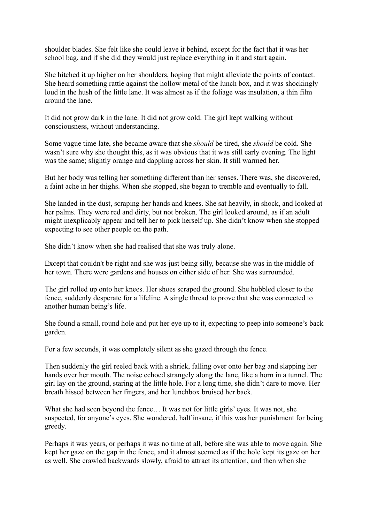shoulder blades. She felt like she could leave it behind, except for the fact that it was her school bag, and if she did they would just replace everything in it and start again.

She hitched it up higher on her shoulders, hoping that might alleviate the points of contact. She heard something rattle against the hollow metal of the lunch box, and it was shockingly loud in the hush of the little lane. It was almost as if the foliage was insulation, a thin film around the lane.

It did not grow dark in the lane. It did not grow cold. The girl kept walking without consciousness, without understanding.

Some vague time late, she became aware that she *should* be tired, she *should* be cold. She wasn't sure why she thought this, as it was obvious that it was still early evening. The light was the same; slightly orange and dappling across her skin. It still warmed her.

But her body was telling her something different than her senses. There was, she discovered, a faint ache in her thighs. When she stopped, she began to tremble and eventually to fall.

She landed in the dust, scraping her hands and knees. She sat heavily, in shock, and looked at her palms. They were red and dirty, but not broken. The girl looked around, as if an adult might inexplicably appear and tell her to pick herself up. She didn't know when she stopped expecting to see other people on the path.

She didn't know when she had realised that she was truly alone.

Except that couldn't be right and she was just being silly, because she was in the middle of her town. There were gardens and houses on either side of her. She was surrounded.

The girl rolled up onto her knees. Her shoes scraped the ground. She hobbled closer to the fence, suddenly desperate for a lifeline. A single thread to prove that she was connected to another human being's life.

She found a small, round hole and put her eye up to it, expecting to peep into someone's back garden.

For a few seconds, it was completely silent as she gazed through the fence.

Then suddenly the girl reeled back with a shriek, falling over onto her bag and slapping her hands over her mouth. The noise echoed strangely along the lane, like a horn in a tunnel. The girl lay on the ground, staring at the little hole. For a long time, she didn't dare to move. Her breath hissed between her fingers, and her lunchbox bruised her back.

What she had seen beyond the fence... It was not for little girls' eyes. It was not, she suspected, for anyone's eyes. She wondered, half insane, if this was her punishment for being greedy.

Perhaps it was years, or perhaps it was no time at all, before she was able to move again. She kept her gaze on the gap in the fence, and it almost seemed as if the hole kept its gaze on her as well. She crawled backwards slowly, afraid to attract its attention, and then when she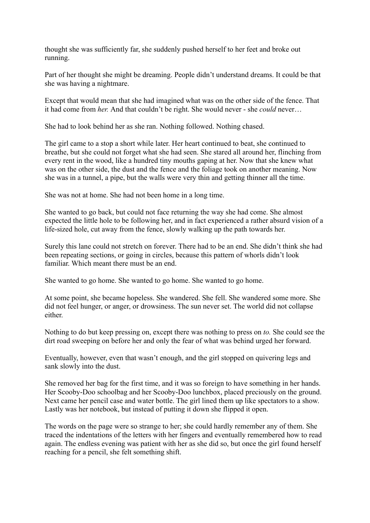thought she was sufficiently far, she suddenly pushed herself to her feet and broke out running.

Part of her thought she might be dreaming. People didn't understand dreams. It could be that she was having a nightmare.

Except that would mean that she had imagined what was on the other side of the fence. That it had come from *her.* And that couldn't be right. She would never - she *could* never…

She had to look behind her as she ran. Nothing followed. Nothing chased.

The girl came to a stop a short while later. Her heart continued to beat, she continued to breathe, but she could not forget what she had seen. She stared all around her, flinching from every rent in the wood, like a hundred tiny mouths gaping at her. Now that she knew what was on the other side, the dust and the fence and the foliage took on another meaning. Now she was in a tunnel, a pipe, but the walls were very thin and getting thinner all the time.

She was not at home. She had not been home in a long time.

She wanted to go back, but could not face returning the way she had come. She almost expected the little hole to be following her, and in fact experienced a rather absurd vision of a life-sized hole, cut away from the fence, slowly walking up the path towards her.

Surely this lane could not stretch on forever. There had to be an end. She didn't think she had been repeating sections, or going in circles, because this pattern of whorls didn't look familiar. Which meant there must be an end.

She wanted to go home. She wanted to go home. She wanted to go home.

At some point, she became hopeless. She wandered. She fell. She wandered some more. She did not feel hunger, or anger, or drowsiness. The sun never set. The world did not collapse either.

Nothing to do but keep pressing on, except there was nothing to press on *to.* She could see the dirt road sweeping on before her and only the fear of what was behind urged her forward.

Eventually, however, even that wasn't enough, and the girl stopped on quivering legs and sank slowly into the dust.

She removed her bag for the first time, and it was so foreign to have something in her hands. Her Scooby-Doo schoolbag and her Scooby-Doo lunchbox, placed preciously on the ground. Next came her pencil case and water bottle. The girl lined them up like spectators to a show. Lastly was her notebook, but instead of putting it down she flipped it open.

The words on the page were so strange to her; she could hardly remember any of them. She traced the indentations of the letters with her fingers and eventually remembered how to read again. The endless evening was patient with her as she did so, but once the girl found herself reaching for a pencil, she felt something shift.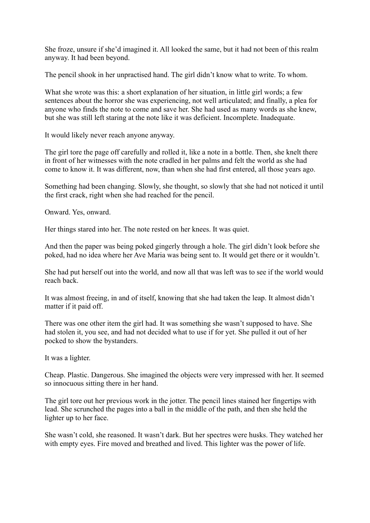She froze, unsure if she'd imagined it. All looked the same, but it had not been of this realm anyway. It had been beyond.

The pencil shook in her unpractised hand. The girl didn't know what to write. To whom.

What she wrote was this: a short explanation of her situation, in little girl words; a few sentences about the horror she was experiencing, not well articulated; and finally, a plea for anyone who finds the note to come and save her. She had used as many words as she knew, but she was still left staring at the note like it was deficient. Incomplete. Inadequate.

It would likely never reach anyone anyway.

The girl tore the page off carefully and rolled it, like a note in a bottle. Then, she knelt there in front of her witnesses with the note cradled in her palms and felt the world as she had come to know it. It was different, now, than when she had first entered, all those years ago.

Something had been changing. Slowly, she thought, so slowly that she had not noticed it until the first crack, right when she had reached for the pencil.

Onward. Yes, onward.

Her things stared into her. The note rested on her knees. It was quiet.

And then the paper was being poked gingerly through a hole. The girl didn't look before she poked, had no idea where her Ave Maria was being sent to. It would get there or it wouldn't.

She had put herself out into the world, and now all that was left was to see if the world would reach back.

It was almost freeing, in and of itself, knowing that she had taken the leap. It almost didn't matter if it paid off.

There was one other item the girl had. It was something she wasn't supposed to have. She had stolen it, you see, and had not decided what to use if for yet. She pulled it out of her pocked to show the bystanders.

It was a lighter.

Cheap. Plastic. Dangerous. She imagined the objects were very impressed with her. It seemed so innocuous sitting there in her hand.

The girl tore out her previous work in the jotter. The pencil lines stained her fingertips with lead. She scrunched the pages into a ball in the middle of the path, and then she held the lighter up to her face.

She wasn't cold, she reasoned. It wasn't dark. But her spectres were husks. They watched her with empty eyes. Fire moved and breathed and lived. This lighter was the power of life.